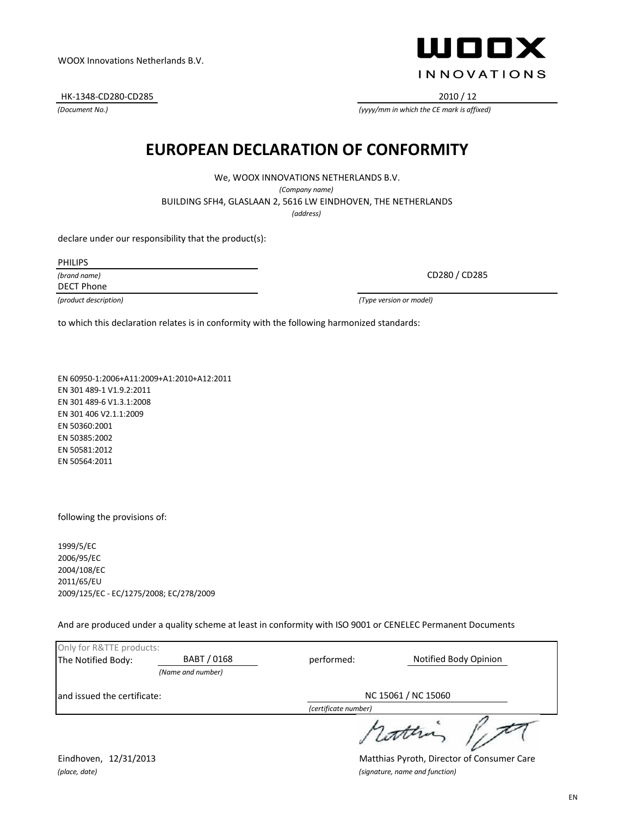PHILIPS

*(brand name)* DECT Phone

*(product description) (Type version or model)*

to which this declaration relates is in conformity with the following harmonized standards:

**EUROPEAN DECLARATION OF CONFORMITY**

We, WOOX INNOVATIONS NETHERLANDS B.V. *(Company name)* BUILDING SFH4, GLASLAAN 2, 5616 LW EINDHOVEN, THE NETHERLANDS *(address)*

EN 60950-1:2006+A11:2009+A1:2010+A12:2011 EN 301 489-1 V1.9.2:2011 EN 301 489-6 V1.3.1:2008 EN 301 406 V2.1.1:2009 EN 50360:2001 EN 50385:2002 EN 50581:2012 EN 50564:2011

declare under our responsibility that the product(s):

following the provisions of:

1999/5/EC 2006/95/EC 2004/108/EC 2011/65/EU 2009/125/EC - EC/1275/2008; EC/278/2009

And are produced under a quality scheme at least in conformity with ISO 9001 or CENELEC Permanent Documents

| Only for R&TTE products:     |                   |                      |                       |  |
|------------------------------|-------------------|----------------------|-----------------------|--|
| The Notified Body:           | BABT / 0168       | performed:           | Notified Body Opinion |  |
|                              | (Name and number) |                      |                       |  |
| land issued the certificate: |                   | NC 15061 / NC 15060  |                       |  |
|                              |                   | (certificate number) |                       |  |
|                              |                   |                      |                       |  |

Eindhoven, 12/31/2013 Matthias Pyroth, Director of Consumer Care *(place, date) (signature, name and function)*

HK-1348-CD280-CD285 2010 / 12

*(Document No.)*



CD280 / CD285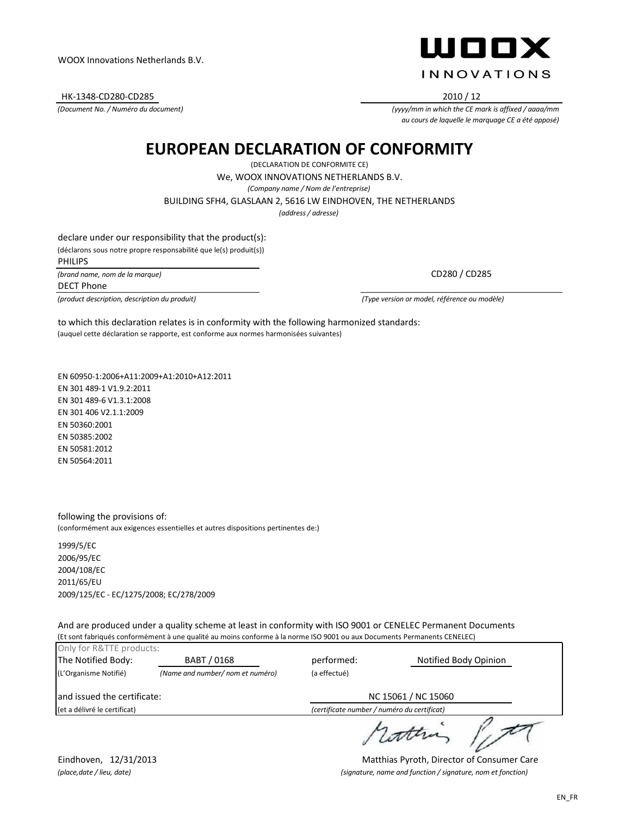HK-1348-CD280-CD285 2010 / 12

*(Document No. / Numéro du document)*



*(yyyy/mm in which the CE mark is affixed / aaaa/mm au cours de laquelle le marquage CE a été apposé)*

## **EUROPEAN DECLARATION OF CONFORMITY**

(DECLARATION DE CONFORMITE CE)

We, WOOX INNOVATIONS NETHERLANDS B.V.

*(Company name / Nom de l'entreprise)*

BUILDING SFH4, GLASLAAN 2, 5616 LW EINDHOVEN, THE NETHERLANDS

*(address / adresse)*

declare under our responsibility that the product(s): (déclarons sous notre propre responsabilité que le(s) produit(s)) *(brand name, nom de la marque)* PHILIPS

DECT Phone

*(product description, description du produit) (Type version or model, référence ou modèle)*

CD280 / CD285

(auquel cette déclaration se rapporte, est conforme aux normes harmonisées suivantes) to which this declaration relates is in conformity with the following harmonized standards:

EN 60950-1:2006+A11:2009+A1:2010+A12:2011 EN 301 489-1 V1.9.2:2011 EN 301 489-6 V1.3.1:2008 EN 301 406 V2.1.1:2009 EN 50360:2001 EN 50385:2002 EN 50581:2012 EN 50564:2011

following the provisions of: (conformément aux exigences essentielles et autres dispositions pertinentes de:)

1999/5/EC 2006/95/EC 2004/108/EC 2011/65/EU 2009/125/EC - EC/1275/2008; EC/278/2009

And are produced under a quality scheme at least in conformity with ISO 9001 or CENELEC Permanent Documents (Et sont fabriqués conformément à une qualité au moins conforme à la norme ISO 9001 ou aux Documents Permanents CENELEC)

| Only for R&TTE products:     |                                  |                                             |                       |  |
|------------------------------|----------------------------------|---------------------------------------------|-----------------------|--|
| The Notified Body:           | BABT / 0168                      | performed:                                  | Notified Body Opinion |  |
| (L'Organisme Notifié)        | (Name and number/ nom et numéro) | (a effectué)                                |                       |  |
| and issued the certificate:  |                                  |                                             | NC 15061 / NC 15060   |  |
| (et a délivré le certificat) |                                  | (certificate number / numéro du certificat) |                       |  |
|                              |                                  |                                             |                       |  |

rathing /

Eindhoven, 12/31/2013 Matthias Pyroth, Director of Consumer Care *(place,date / lieu, date) (signature, name and function / signature, nom et fonction)*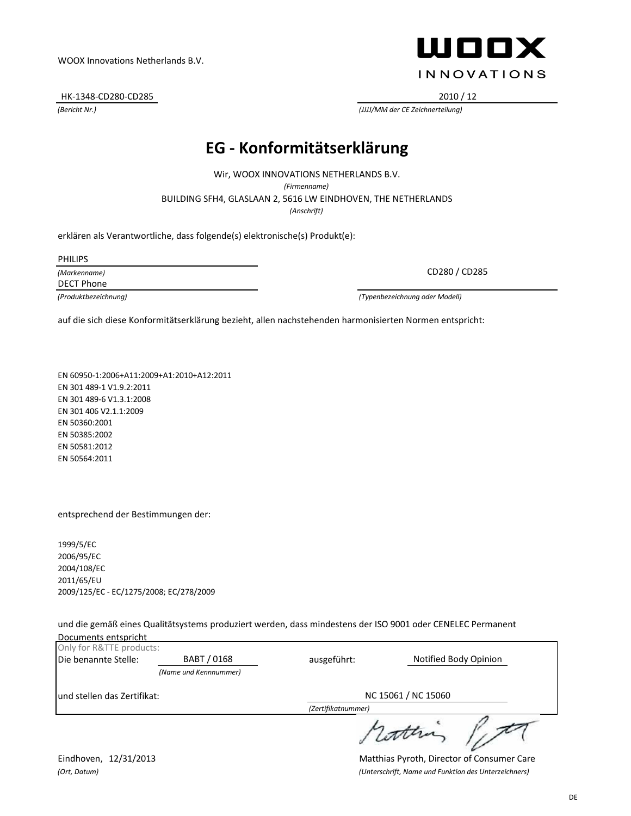Documents entspricht

DE

WOOX Innovations Netherlands B.V.

HK-1348-CD280-CD285 2010 / 12

#### **EG - Konformitätserklärung**

BUILDING SFH4, GLASLAAN 2, 5616 LW EINDHOVEN, THE NETHERLANDS Wir, WOOX INNOVATIONS NETHERLANDS B.V. *(Firmenname) (Anschrift)*

erklären als Verantwortliche, dass folgende(s) elektronische(s) Produkt(e):

PHILIPS

*(Markenname)* DECT Phone

*(Produktbezeichnung) (Typenbezeichnung oder Modell)*

auf die sich diese Konformitätserklärung bezieht, allen nachstehenden harmonisierten Normen entspricht:

EN 60950-1:2006+A11:2009+A1:2010+A12:2011 EN 301 489-1 V1.9.2:2011 EN 301 489-6 V1.3.1:2008 EN 301 406 V2.1.1:2009 EN 50360:2001 EN 50385:2002 EN 50581:2012 EN 50564:2011

entsprechend der Bestimmungen der:

1999/5/EC 2006/95/EC 2004/108/EC 2011/65/EU 2009/125/EC - EC/1275/2008; EC/278/2009

und die gemäß eines Qualitätsystems produziert werden, dass mindestens der ISO 9001 oder CENELEC Permanent

| Only for R&TTE products:    |                       |                     |                       |
|-----------------------------|-----------------------|---------------------|-----------------------|
| Die benannte Stelle:        | BABT / 0168           | ausgeführt:         | Notified Body Opinion |
|                             | (Name und Kennnummer) |                     |                       |
| und stellen das Zertifikat: |                       | NC 15061 / NC 15060 |                       |
|                             |                       | (Zertifikatnummer)  |                       |
|                             |                       |                     | scotten               |

Eindhoven, 12/31/2013 Matthias Pyroth, Director of Consumer Care *(Ort, Datum) (Unterschrift, Name und Funktion des Unterzeichners)*



CD280 / CD285

*(Bericht Nr.) (JJJJ/MM der CE Zeichnerteilung)*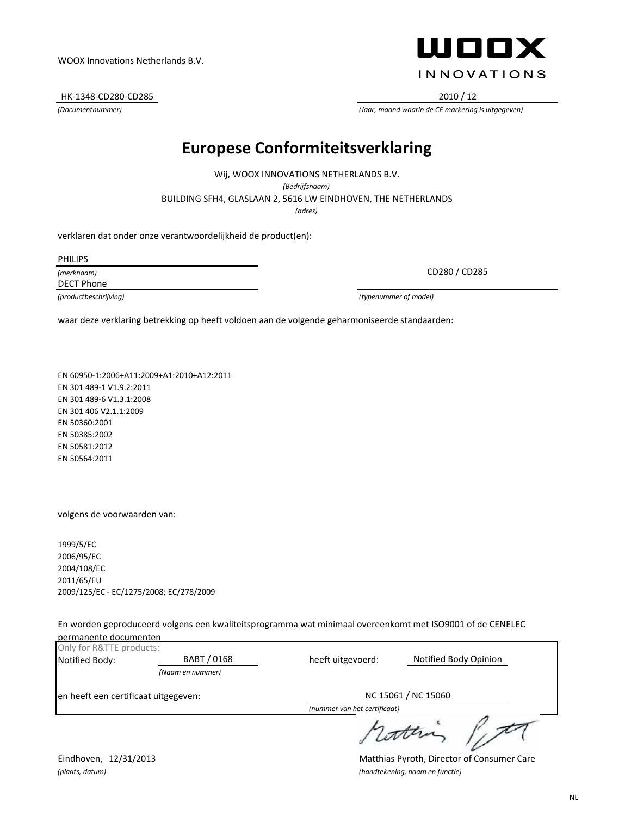en heeft een certificaat uitgegeven:

Eindhoven, 12/31/2013 Matthias Pyroth, Director of Consumer Care *(plaats, datum) (handtekening, naam en functie)*

NC 15061 / NC 15060

NL

# **Europese Conformiteitsverklaring**

*(adres)* BUILDING SFH4, GLASLAAN 2, 5616 LW EINDHOVEN, THE NETHERLANDS Wij, WOOX INNOVATIONS NETHERLANDS B.V. *(Bedrijfsnaam)*

verklaren dat onder onze verantwoordelijkheid de product(en):

PHILIPS

*(merknaam)* DECT Phone

*(productbeschrijving) (typenummer of model)*

waar deze verklaring betrekking op heeft voldoen aan de volgende geharmoniseerde standaarden:

EN 60950-1:2006+A11:2009+A1:2010+A12:2011 EN 301 489-1 V1.9.2:2011 EN 301 489-6 V1.3.1:2008 EN 301 406 V2.1.1:2009 EN 50360:2001 EN 50385:2002 EN 50581:2012 EN 50564:2011

volgens de voorwaarden van:

Only for R&TTE products:

permanente documenten

1999/5/EC 2006/95/EC 2004/108/EC 2011/65/EU 2009/125/EC - EC/1275/2008; EC/278/2009

*(Naam en nummer)*

En worden geproduceerd volgens een kwaliteitsprogramma wat minimaal overeenkomt met ISO9001 of de CENELEC

Notified Body: **BABT / 0168** heeft uitgevoerd: Notified Body Opinion

heeft uitgevoerd:

*(nummer van het certificaat)*



*(Documentnummer) (Jaar, maand waarin de CE markering is uitgegeven)*

#### WOOX Innovations Netherlands B.V.

HK-1348-CD280-CD285 2010 / 12

CD280 / CD285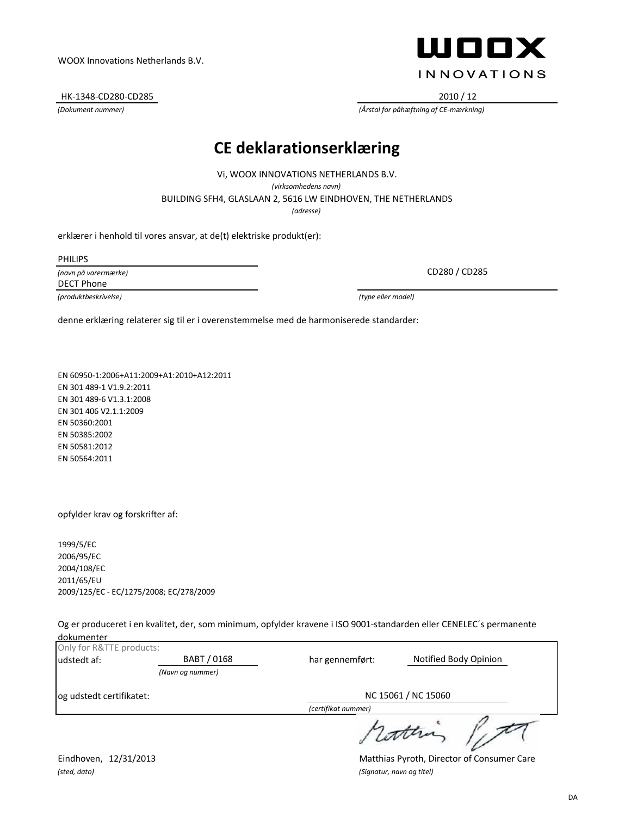HK-1348-CD280-CD285 2010 / 12

## ШООХ **INNOVATIONS**

*(Dokument nummer) (Årstal for påhæftning af CE-mærkning)*

#### **CE deklarationserklæring**

BUILDING SFH4, GLASLAAN 2, 5616 LW EINDHOVEN, THE NETHERLANDS Vi, WOOX INNOVATIONS NETHERLANDS B.V. *(virksomhedens navn) (adresse)*

erklærer i henhold til vores ansvar, at de(t) elektriske produkt(er):

PHILIPS

*(navn på varermærke)* DECT Phone

*(produktbeskrivelse) (type eller model)*

CD280 / CD285

denne erklæring relaterer sig til er i overenstemmelse med de harmoniserede standarder:

EN 60950-1:2006+A11:2009+A1:2010+A12:2011 EN 301 489-1 V1.9.2:2011 EN 301 489-6 V1.3.1:2008 EN 301 406 V2.1.1:2009 EN 50360:2001 EN 50385:2002 EN 50581:2012 EN 50564:2011

opfylder krav og forskrifter af:

1999/5/EC 2006/95/EC 2004/108/EC 2011/65/EU 2009/125/EC - EC/1275/2008; EC/278/2009

Og er produceret i en kvalitet, der, som minimum, opfylder kravene i ISO 9001-standarden eller CENELEC´s permanente dokumenter

| Only for R&TTE products:   |                  |                     |                       |
|----------------------------|------------------|---------------------|-----------------------|
| BABT / 0168<br>udstedt af: |                  | har gennemført:     | Notified Body Opinion |
|                            | (Navn og nummer) |                     |                       |
| og udstedt certifikatet:   |                  | NC 15061 / NC 15060 |                       |
|                            |                  | (certifikat nummer) |                       |
|                            |                  |                     | s cottra              |

*(sted, dato) (Signatur, navn og titel)*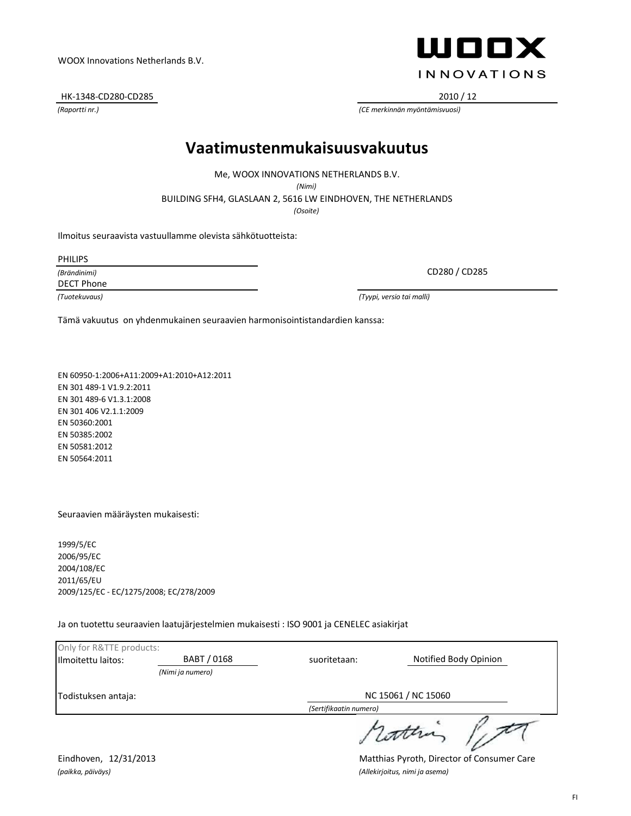Todistuksen antaja:

Eindhoven, 12/31/2013 Matthias Pyroth, Director of Consumer Care *(paikka, päiväys) (Allekirjoitus, nimi ja asema)*

Only for R&TTE products:

#### *(Raportti nr.) (CE merkinnän myöntämisvuosi)* HK-1348-CD280-CD285 2010 / 12

#### **Vaatimustenmukaisuusvakuutus**

Me, WOOX INNOVATIONS NETHERLANDS B.V.

*(Nimi)*

BUILDING SFH4, GLASLAAN 2, 5616 LW EINDHOVEN, THE NETHERLANDS

*(Osoite)*

Ilmoitus seuraavista vastuullamme olevista sähkötuotteista:

PHILIPS

*(Brändinimi)*

DECT Phone

*(Tuotekuvaus) (Tyypi, versio tai malli)*

Tämä vakuutus on yhdenmukainen seuraavien harmonisointistandardien kanssa:

EN 60950-1:2006+A11:2009+A1:2010+A12:2011 EN 301 489-1 V1.9.2:2011 EN 301 489-6 V1.3.1:2008 EN 301 406 V2.1.1:2009 EN 50360:2001 EN 50385:2002 EN 50581:2012 EN 50564:2011

Seuraavien määräysten mukaisesti:

1999/5/EC 2006/95/EC 2004/108/EC 2011/65/EU 2009/125/EC - EC/1275/2008; EC/278/2009

Ja on tuotettu seuraavien laatujärjestelmien mukaisesti : ISO 9001 ja CENELEC asiakirjat

*(Nimi ja numero)*

suoritetaan:

Ilmoitettu laitos: **BABT / 0168** Notified Body Opinion

*(Sertifikaatin numero)*

NC 15061 / NC 15060



CD280 / CD285

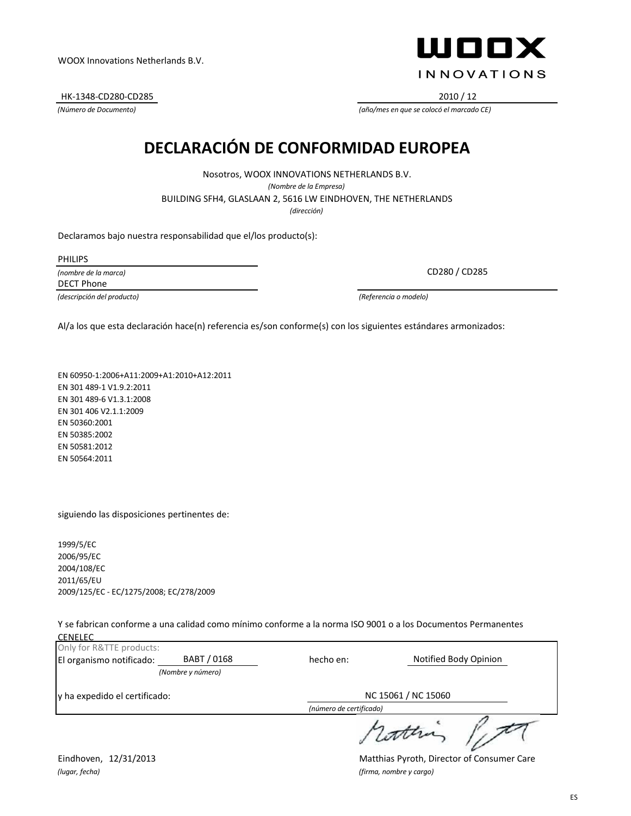HK-1348-CD280-CD285 2010 / 12



*(Número de Documento) (año/mes en que se colocó el marcado CE)*

## **DECLARACIÓN DE CONFORMIDAD EUROPEA**

BUILDING SFH4, GLASLAAN 2, 5616 LW EINDHOVEN, THE NETHERLANDS Nosotros, WOOX INNOVATIONS NETHERLANDS B.V. *(Nombre de la Empresa) (dirección)*

Declaramos bajo nuestra responsabilidad que el/los producto(s):

PHILIPS

*(nombre de la marca)* DECT Phone

*(descripción del producto) (Referencia o modelo)*

CD280 / CD285

Al/a los que esta declaración hace(n) referencia es/son conforme(s) con los siguientes estándares armonizados:

EN 60950-1:2006+A11:2009+A1:2010+A12:2011 EN 301 489-1 V1.9.2:2011 EN 301 489-6 V1.3.1:2008 EN 301 406 V2.1.1:2009 EN 50360:2001 EN 50385:2002 EN 50581:2012 EN 50564:2011

siguiendo las disposiciones pertinentes de:

1999/5/EC 2006/95/EC 2004/108/EC 2011/65/EU 2009/125/EC - EC/1275/2008; EC/278/2009

Y se fabrican conforme a una calidad como mínimo conforme a la norma ISO 9001 o a los Documentos Permanentes

| <b>CENELEC</b>                |                   |                         |                       |
|-------------------------------|-------------------|-------------------------|-----------------------|
| Only for R&TTE products:      |                   |                         |                       |
| El organismo notificado:      | BABT / 0168       | hecho en:               | Notified Body Opinion |
|                               | (Nombre y número) |                         |                       |
| y ha expedido el certificado: |                   | NC 15061 / NC 15060     |                       |
|                               |                   | (número de certificado) |                       |
|                               |                   |                         | 1 contra              |

*(lugar, fecha) (firma, nombre y cargo)*

Eindhoven, 12/31/2013 Matthias Pyroth, Director of Consumer Care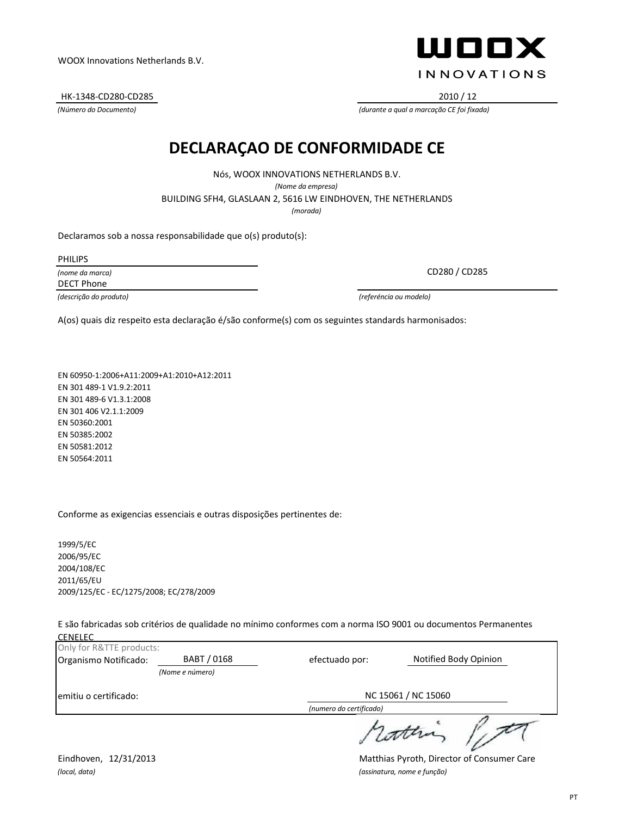*(local, data) (assinatura, nome e função)*

Eindhoven, 12/31/2013 Matthias Pyroth, Director of Consumer Care

HK-1348-CD280-CD285 2010 / 12

#### **DECLARAÇAO DE CONFORMIDADE CE**

Nós, WOOX INNOVATIONS NETHERLANDS B.V. *(Nome da empresa)* BUILDING SFH4, GLASLAAN 2, 5616 LW EINDHOVEN, THE NETHERLANDS *(morada)*

Declaramos sob a nossa responsabilidade que o(s) produto(s):

PHILIPS

*(nome da marca)* DECT Phone

*(descrição do produto) (referéncia ou modelo)*

A(os) quais diz respeito esta declaração é/são conforme(s) com os seguintes standards harmonisados:

EN 60950-1:2006+A11:2009+A1:2010+A12:2011 EN 301 489-1 V1.9.2:2011 EN 301 489-6 V1.3.1:2008 EN 301 406 V2.1.1:2009 EN 50360:2001 EN 50385:2002 EN 50581:2012 EN 50564:2011

Conforme as exigencias essenciais e outras disposições pertinentes de:

1999/5/EC 2006/95/EC 2004/108/EC 2011/65/EU 2009/125/EC - EC/1275/2008; EC/278/2009

E são fabricadas sob critérios de qualidade no mínimo conformes com a norma ISO 9001 ou documentos Permanentes **CENELEC**<br>Only for F

| Only for R&TTE products: |                 |                         |                       |
|--------------------------|-----------------|-------------------------|-----------------------|
| Organismo Notificado:    | BABT / 0168     | efectuado por:          | Notified Body Opinion |
|                          | (Nome e número) |                         |                       |
| emitiu o certificado:    |                 | NC 15061 / NC 15060     |                       |
|                          |                 | (numero do certificado) |                       |
|                          |                 |                         | 1 cottra              |



CD280 / CD285

*(Número do Documento) (durante a qual a marcação CE foi fixada)*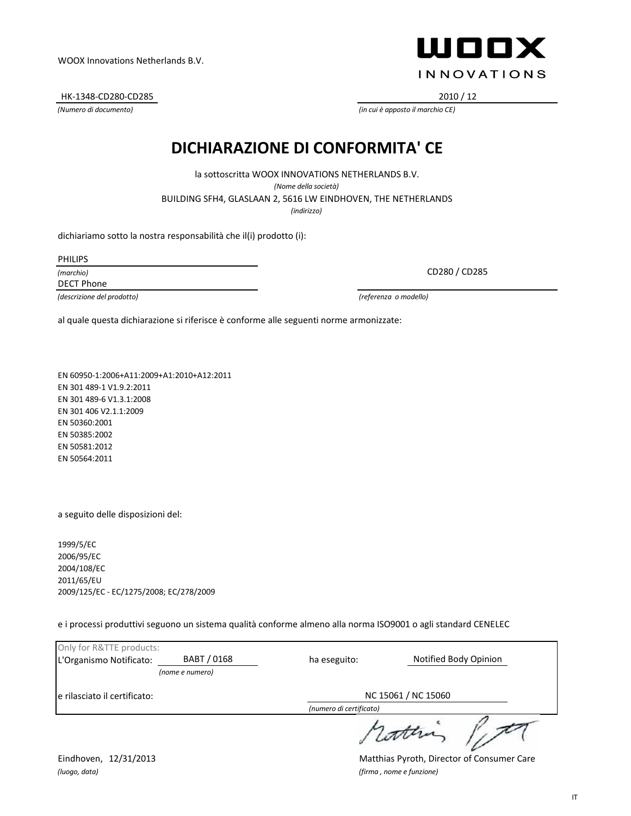*(luogo, data) (firma , nome e funzione)*

NC 15061 / NC 15060

*(Numero di documento) (in cui è apposto il marchio CE)* HK-1348-CD280-CD285 2010 / 12

WOOX Innovations Netherlands B.V.

**DICHIARAZIONE DI CONFORMITA' CE**

BUILDING SFH4, GLASLAAN 2, 5616 LW EINDHOVEN, THE NETHERLANDS la sottoscritta WOOX INNOVATIONS NETHERLANDS B.V. *(Nome della società) (indirizzo)*

dichiariamo sotto la nostra responsabilità che il(i) prodotto (i):

PHILIPS

*(marchio)* DECT Phone

*(descrizione del prodotto) (referenza o modello)*

al quale questa dichiarazione si riferisce è conforme alle seguenti norme armonizzate:

EN 60950-1:2006+A11:2009+A1:2010+A12:2011 EN 301 489-1 V1.9.2:2011 EN 301 489-6 V1.3.1:2008 EN 301 406 V2.1.1:2009 EN 50360:2001 EN 50385:2002 EN 50581:2012 EN 50564:2011

a seguito delle disposizioni del:

Only for R&TTE products:

L'Organismo Notificato:

e rilasciato il certificato:

1999/5/EC 2006/95/EC 2004/108/EC 2011/65/EU 2009/125/EC - EC/1275/2008; EC/278/2009

*(nome e numero)*

BABT / 0168

e i processi produttivi seguono un sistema qualità conforme almeno alla norma ISO9001 o agli standard CENELEC

ha eseguito:

*(numero di certificato)*



CD280 / CD285

Eindhoven, 12/31/2013 Matthias Pyroth, Director of Consumer Care

Notified Body Opinion

IT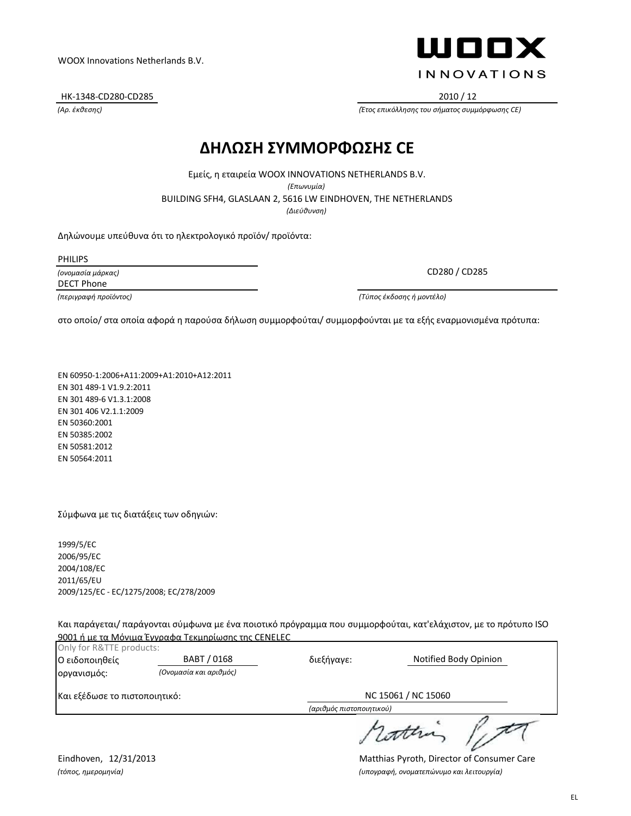#### Eindhoven, 12/31/2013 Matthias Pyroth, Director of Consumer Care *(τόπος, ημερομηνία) (υπογραφή, ονοματεπώνυμο και λειτουργία)*

WOOX Innovations Netherlands B.V.

HK-1348-CD280-CD285 2010 / 12

#### **ΔΗΛΩΣΗ ΣΥΜΜΟΡΦΩΣΗΣ CE**

BUILDING SFH4, GLASLAAN 2, 5616 LW EINDHOVEN, THE NETHERLANDS Εμείς, η εταιρεία WOOX INNOVATIONS NETHERLANDS B.V. *(Επωνυμία) (Διεύθυνση)*

Δηλώνουμε υπεύθυνα ότι το ηλεκτρολογικό προϊόν/ προϊόντα:

PHILIPS

*(ονομασία μάρκας)* DECT Phone

*(περιγραφή προϊόντος) (Τύπος έκδοσης ή μοντέλο)*

στο οποίο/ στα οποία αφορά η παρούσα δήλωση συμμορφούται/ συμμορφούνται με τα εξής εναρμονισμένα πρότυπα:

EN 60950-1:2006+A11:2009+A1:2010+A12:2011 EN 301 489-1 V1.9.2:2011 EN 301 489-6 V1.3.1:2008 EN 301 406 V2.1.1:2009 EN 50360:2001 EN 50385:2002 EN 50581:2012 EN 50564:2011

Σύμφωνα με τις διατάξεις των οδηγιών:

1999/5/EC 2006/95/EC 2004/108/EC 2011/65/EU 2009/125/EC - EC/1275/2008; EC/278/2009

Και παράγεται/ παράγονται σύμφωνα με ένα ποιοτικό πρόγραμμα που συμμορφούται, κατ'ελάχιστον, με το πρότυπο ISO 9001 ή με τα Μόνιμα Έγγραφα Τεκμηρίωσης της CENELEC

| Only for R&TTE products:      |                        |                          |                       |  |
|-------------------------------|------------------------|--------------------------|-----------------------|--|
| Ο ειδοποιηθείς                | BABT / 0168            | διεξήγαγε:               | Notified Body Opinion |  |
| οργανισμός:                   | (Ονομασία και αριθμός) |                          |                       |  |
| Και εξέδωσε το πιστοποιητικό: |                        | NC 15061 / NC 15060      |                       |  |
|                               |                        | (αριθμός πιστοποιητικού) |                       |  |
|                               |                        |                          |                       |  |

ШППХ **INNOVATIONS** 

CD280 / CD285

*(Αρ. έκθεσης) (Έτος επικόλλησης του σήματος συμμόρφωσης CE)*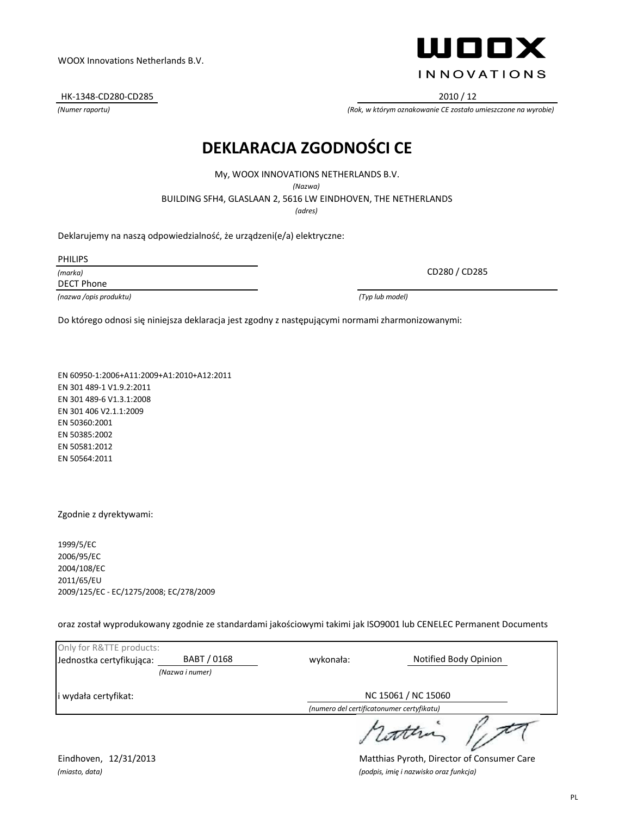i wydała certyfikat:

#### Eindhoven, 12/31/2013 Matthias Pyroth, Director of Consumer Care *(miasto, data) (podpis, imię i nazwisko oraz funkcja)*

# **DEKLARACJA ZGODNOŚCI CE**

My, WOOX INNOVATIONS NETHERLANDS B.V. *(Nazwa)*

BUILDING SFH4, GLASLAAN 2, 5616 LW EINDHOVEN, THE NETHERLANDS

*(adres)*

Deklarujemy na naszą odpowiedzialność, że urządzeni(e/a) elektryczne:

PHILIPS

*(marka)* DECT Phone

*(nazwa /opis produktu) (Typ lub model)*

CD280 / CD285

Do którego odnosi się niniejsza deklaracja jest zgodny z następującymi normami zharmonizowanymi:

EN 60950-1:2006+A11:2009+A1:2010+A12:2011 EN 301 489-1 V1.9.2:2011 EN 301 489-6 V1.3.1:2008 EN 301 406 V2.1.1:2009 EN 50360:2001 EN 50385:2002 EN 50581:2012 EN 50564:2011

Zgodnie z dyrektywami:

Only for R&TTE products:

1999/5/EC 2006/95/EC 2004/108/EC 2011/65/EU 2009/125/EC - EC/1275/2008; EC/278/2009

oraz został wyprodukowany zgodnie ze standardami jakościowymi takimi jak ISO9001 lub CENELEC Permanent Documents

Jednostka certyfikująca: BABT / 0168 Notified Body Opinion

wykonała:

*(numero del certificatonumer certyfikatu)*

NC 15061 / NC 15060

ath

WOOX Innovations Netherlands B.V.

HK-1348-CD280-CD285 2010 / 12

*(Numer raportu) (Rok, w którym oznakowanie CE zostało umieszczone na wyrobie)*

ШППХ **INNOVATIONS** 

*(Nazwa i numer)*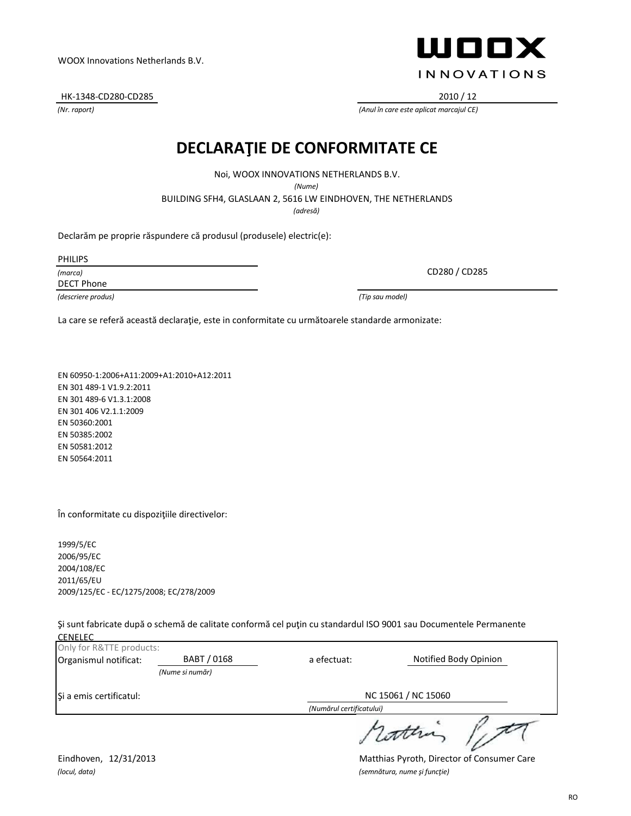# *(locul, data) (semnătura, nume şi funcţie)*

Only for R&TTE products:

1999/5/EC 2006/95/EC 2004/108/EC 2011/65/EU

CENELEC

Şi a emis certificatul:

În conformitate cu dispoziţiile directivelor:

2009/125/EC - EC/1275/2008; EC/278/2009

EN 60950-1:2006+A11:2009+A1:2010+A12:2011

*(Nume si număr)*

Eindhoven, 12/31/2013 Matthias Pyroth, Director of Consumer Care

NC 15061 / NC 15060

#### RO

HK-1348-CD280-CD285 2010 / 12

*(Nr. raport) (Anul în care este aplicat marcajul CE)*

## **DECLARAŢIE DE CONFORMITATE CE**

Noi, WOOX INNOVATIONS NETHERLANDS B.V.

*(Nume)*

BUILDING SFH4, GLASLAAN 2, 5616 LW EINDHOVEN, THE NETHERLANDS

a efectuat:

Şi sunt fabricate după o schemă de calitate conformă cel puţin cu standardul ISO 9001 sau Documentele Permanente

Organismul notificat: BABT / 0168 a efectuat: Notified Body Opinion

*(Numărul certificatului)*

*(adresă)*

Declarăm pe proprie răspundere că produsul (produsele) electric(e):

PHILIPS

*(marca)* DECT Phone

*(descriere produs) (Tip sau model)*

EN 301 489-1 V1.9.2:2011 EN 301 489-6 V1.3.1:2008 EN 301 406 V2.1.1:2009 EN 50360:2001 EN 50385:2002 EN 50581:2012 EN 50564:2011

CD280 / CD285

La care se referă această declarație, este in conformitate cu următoarele standarde armonizate:



WOOX Innovations Netherlands B.V.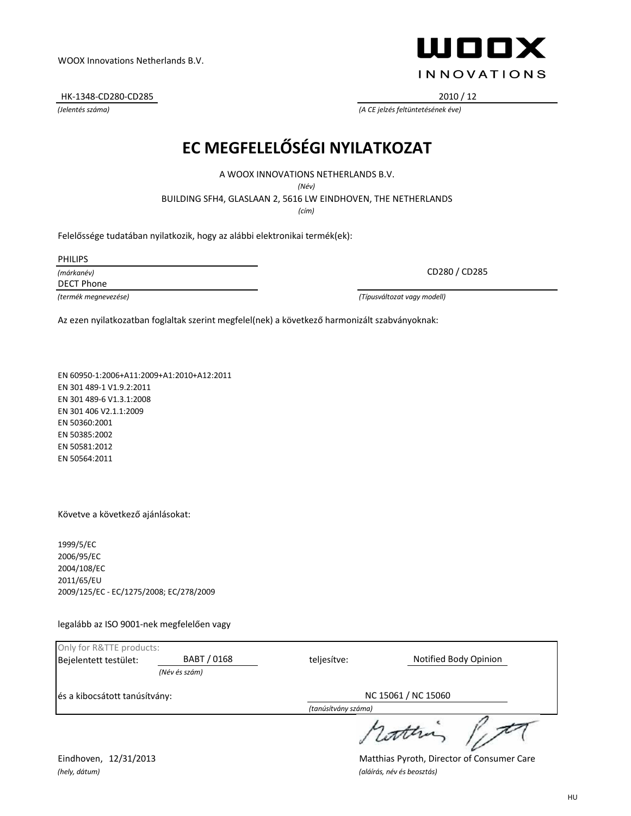HK-1348-CD280-CD285 2010 / 12

## **EC MEGFELELŐSÉGI NYILATKOZAT**

A WOOX INNOVATIONS NETHERLANDS B.V.

*(Név)*

BUILDING SFH4, GLASLAAN 2, 5616 LW EINDHOVEN, THE NETHERLANDS

*(cím)*

Felelőssége tudatában nyilatkozik, hogy az alábbi elektronikai termék(ek):

PHILIPS

*(márkanév)* DECT Phone

*(termék megnevezése) (Típusváltozat vagy modell)*

Az ezen nyilatkozatban foglaltak szerint megfelel(nek) a következő harmonizált szabványoknak:

EN 60950-1:2006+A11:2009+A1:2010+A12:2011 EN 301 489-1 V1.9.2:2011 EN 301 489-6 V1.3.1:2008 EN 301 406 V2.1.1:2009 EN 50360:2001 EN 50385:2002 EN 50581:2012 EN 50564:2011

Követve a következő ajánlásokat:

1999/5/EC 2006/95/EC 2004/108/EC 2011/65/EU 2009/125/EC - EC/1275/2008; EC/278/2009

legalább az ISO 9001-nek megfelelően vagy

| Only for R&TTE products:      |               |                     |                       |  |
|-------------------------------|---------------|---------------------|-----------------------|--|
| Bejelentett testület:         | BABT / 0168   | teljesítve:         | Notified Body Opinion |  |
|                               | (Név és szám) |                     |                       |  |
| és a kibocsátott tanúsítvány: |               | NC 15061 / NC 15060 |                       |  |
|                               |               | (tanúsítvány száma) |                       |  |
|                               |               |                     | 1 Lottera             |  |

ШООХ **INNOVATIONS** 

CD280 / CD285

*(Jelentés száma) (A CE jelzés feltüntetésének éve)*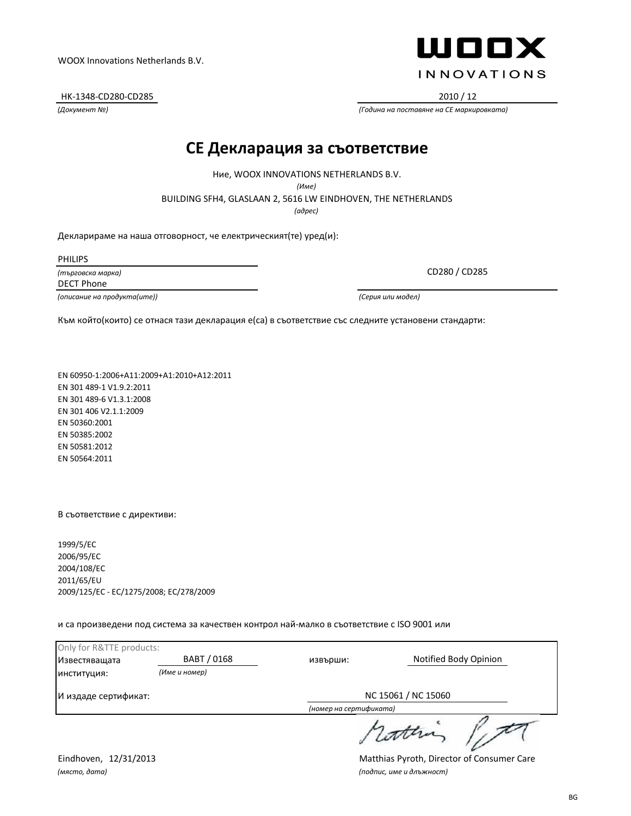BG

#### WOOX Innovations Netherlands B.V.

HK-1348-CD280-CD285 2010 / 12

#### **CE Декларация за съответствие**

BUILDING SFH4, GLASLAAN 2, 5616 LW EINDHOVEN, THE NETHERLANDS Ние, WOOX INNOVATIONS NETHERLANDS B.V. *(Име)*

*(адрес)*

Декларираме на наша отговорност, че електрическият(те) уред(и):

PHILIPS

*(търговска марка)* DECT Phone

*(описание на продукта(ите)) (Серия или модел)*

CD280 / CD285

Към който(които) се отнася тази декларация е(са) в съответствие със следните установени стандарти:

EN 60950-1:2006+A11:2009+A1:2010+A12:2011 EN 301 489-1 V1.9.2:2011 EN 301 489-6 V1.3.1:2008 EN 301 406 V2.1.1:2009 EN 50360:2001 EN 50385:2002 EN 50581:2012 EN 50564:2011

В съответствие с директиви:

1999/5/EC 2006/95/EC 2004/108/EC 2011/65/EU 2009/125/EC - EC/1275/2008; EC/278/2009

и са произведени под система за качествен контрол най-малко в съответствие с ISO 9001 или

| Only for R&TTE products: |               |                        |                       |  |
|--------------------------|---------------|------------------------|-----------------------|--|
| Известяващата            | BABT / 0168   | извърши:               | Notified Body Opinion |  |
| институция:              | (Име и номер) |                        |                       |  |
| И издаде сертификат:     |               | NC 15061 / NC 15060    |                       |  |
|                          |               | (номер на сертификата) |                       |  |
|                          |               | 1 cottra               |                       |  |



*(Документ №) (Година на поставяне на CE маркировката)*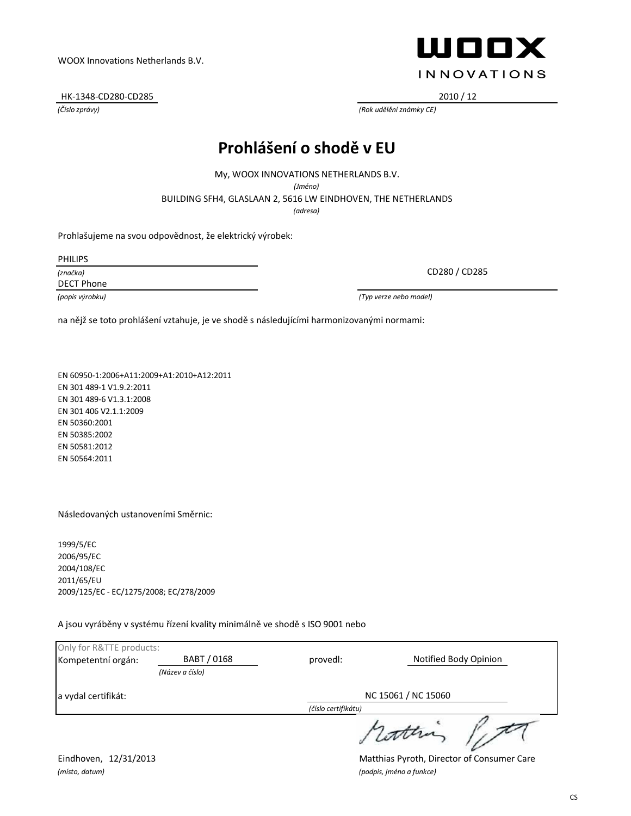HK-1348-CD280-CD285 2010 / 12

## ШООХ **INNOVATIONS**

*(Číslo zprávy) (Rok udělění známky CE)*

## **Prohlášení o shodě v EU**

My, WOOX INNOVATIONS NETHERLANDS B.V.

*(Jméno)*

BUILDING SFH4, GLASLAAN 2, 5616 LW EINDHOVEN, THE NETHERLANDS

*(adresa)*

Prohlašujeme na svou odpovědnost, že elektrický výrobek:

PHILIPS

*(značka)*

DECT Phone

*(popis výrobku) (Typ verze nebo model)*

CD280 / CD285

na nějž se toto prohlášení vztahuje, je ve shodě s následujícími harmonizovanými normami:

EN 60950-1:2006+A11:2009+A1:2010+A12:2011 EN 301 489-1 V1.9.2:2011 EN 301 489-6 V1.3.1:2008 EN 301 406 V2.1.1:2009 EN 50360:2001 EN 50385:2002 EN 50581:2012 EN 50564:2011

Následovaných ustanoveními Směrnic:

1999/5/EC 2006/95/EC 2004/108/EC 2011/65/EU 2009/125/EC - EC/1275/2008; EC/278/2009

A jsou vyráběny v systému řízení kvality minimálně ve shodě s ISO 9001 nebo

| Only for R&TTE products: |                 |                     |                       |  |
|--------------------------|-----------------|---------------------|-----------------------|--|
| Kompetentní orgán:       | BABT / 0168     | provedl:            | Notified Body Opinion |  |
|                          | (Název a číslo) |                     |                       |  |
| a vydal certifikát:      |                 | NC 15061 / NC 15060 |                       |  |
|                          |                 | (číslo certifikátu) |                       |  |
|                          |                 |                     | 1 cotten              |  |

*(místo, datum) (podpis, jméno a funkce)*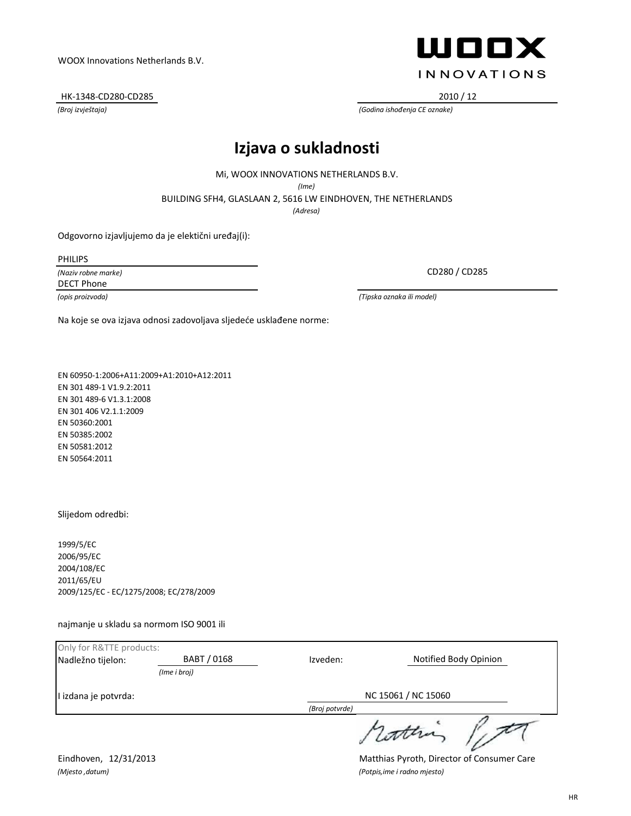#### HK-1348-CD280-CD285 2010 / 12

## ШООХ **INNOVATIONS**

*(Broj izvještaja) (Godina ishođenja CE oznake)*

## **Izjava o sukladnosti**

Mi, WOOX INNOVATIONS NETHERLANDS B.V.

*(Ime)*

BUILDING SFH4, GLASLAAN 2, 5616 LW EINDHOVEN, THE NETHERLANDS

*(Adresa)*

Odgovorno izjavljujemo da je elektični uređaj(i):

PHILIPS

*(Naziv robne marke)* DECT Phone

CD280 / CD285

*(opis proizvoda) (Tipska oznaka ili model)*

Na koje se ova izjava odnosi zadovoljava sljedeće usklađene norme:

EN 60950-1:2006+A11:2009+A1:2010+A12:2011 EN 301 489-1 V1.9.2:2011 EN 301 489-6 V1.3.1:2008 EN 301 406 V2.1.1:2009 EN 50360:2001 EN 50385:2002 EN 50581:2012 EN 50564:2011

Slijedom odredbi:

1999/5/EC 2006/95/EC 2004/108/EC 2011/65/EU 2009/125/EC - EC/1275/2008; EC/278/2009

najmanje u skladu sa normom ISO 9001 ili

| Only for R&TTE products: |              |                     |                       |  |
|--------------------------|--------------|---------------------|-----------------------|--|
| Nadležno tijelon:        | BABT / 0168  | Izveden:            | Notified Body Opinion |  |
|                          | (Ime i broi) |                     |                       |  |
| I izdana je potvrda:     |              | NC 15061 / NC 15060 |                       |  |
|                          |              | (Broj potvrde)      |                       |  |
|                          |              |                     | 1 cotten              |  |

*(Mjesto ,datum) (Potpis,ime i radno mjesto)*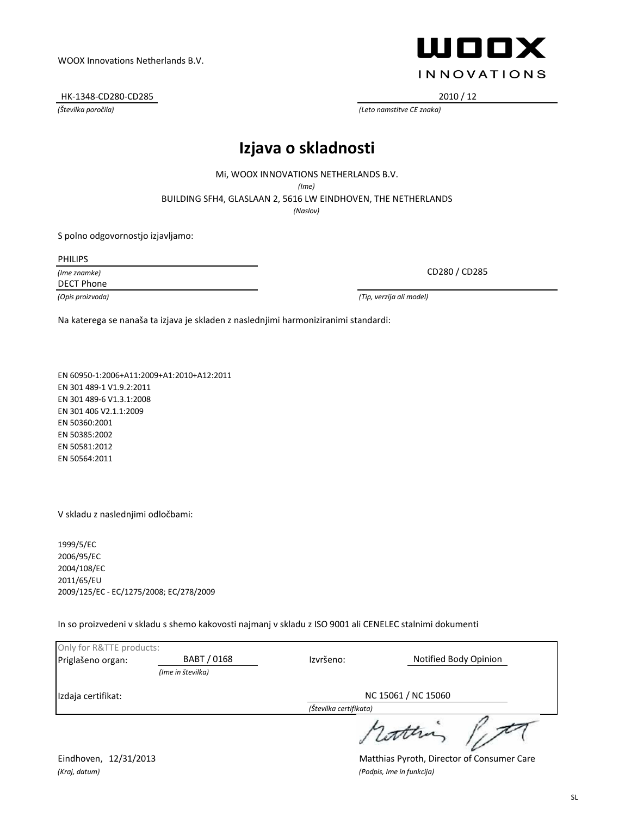HK-1348-CD280-CD285 2010 / 12

## ШООХ **INNOVATIONS**

*(Številka poročila) (Leto namstitve CE znaka)*

#### **Izjava o skladnosti**

Mi, WOOX INNOVATIONS NETHERLANDS B.V.

*(Ime)*

BUILDING SFH4, GLASLAAN 2, 5616 LW EINDHOVEN, THE NETHERLANDS

*(Naslov)*

S polno odgovornostjo izjavljamo:

PHILIPS

*(Ime znamke)* DECT Phone

CD280 / CD285

*(Opis proizvoda) (Tip, verzija ali model)*

Na katerega se nanaša ta izjava je skladen z naslednjimi harmoniziranimi standardi:

EN 60950-1:2006+A11:2009+A1:2010+A12:2011 EN 301 489-1 V1.9.2:2011 EN 301 489-6 V1.3.1:2008 EN 301 406 V2.1.1:2009 EN 50360:2001 EN 50385:2002 EN 50581:2012 EN 50564:2011

V skladu z naslednjimi odločbami:

1999/5/EC 2006/95/EC 2004/108/EC 2011/65/EU 2009/125/EC - EC/1275/2008; EC/278/2009

In so proizvedeni v skladu s shemo kakovosti najmanj v skladu z ISO 9001 ali CENELEC stalnimi dokumenti

| Only for R&TTE products: |                   |                                               |                       |  |
|--------------------------|-------------------|-----------------------------------------------|-----------------------|--|
| Priglašeno organ:        | BABT / 0168       | Izvršeno:                                     | Notified Body Opinion |  |
|                          | (Ime in številka) |                                               |                       |  |
| Izdaja certifikat:       |                   | NC 15061 / NC 15060<br>(Številka certifikata) |                       |  |
|                          |                   |                                               |                       |  |
|                          |                   |                                               | , cather              |  |

*(Kraj, datum) (Podpis, Ime in funkcija)*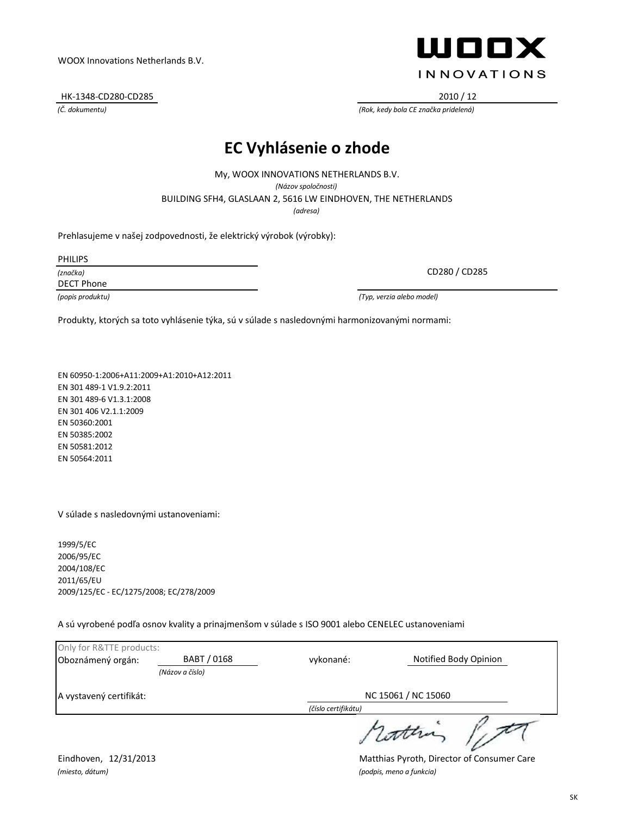HK-1348-CD280-CD285 2010 / 12

#### **EC Vyhlásenie o zhode**

BUILDING SFH4, GLASLAAN 2, 5616 LW EINDHOVEN, THE NETHERLANDS My, WOOX INNOVATIONS NETHERLANDS B.V. *(Názov spoločnosti)*

*(adresa)*

Prehlasujeme v našej zodpovednosti, že elektrický výrobok (výrobky):

PHILIPS

*(značka)*

DECT Phone

*(popis produktu) (Typ, verzia alebo model)*

Produkty, ktorých sa toto vyhlásenie týka, sú v súlade s nasledovnými harmonizovanými normami:

EN 60950-1:2006+A11:2009+A1:2010+A12:2011 EN 301 489-1 V1.9.2:2011 EN 301 489-6 V1.3.1:2008 EN 301 406 V2.1.1:2009 EN 50360:2001 EN 50385:2002 EN 50581:2012 EN 50564:2011

V súlade s nasledovnými ustanoveniami:

1999/5/EC 2006/95/EC 2004/108/EC 2011/65/EU 2009/125/EC - EC/1275/2008; EC/278/2009

A sú vyrobené podľa osnov kvality a prinajmenšom v súlade s ISO 9001 alebo CENELEC ustanoveniami

| Only for R&TTE products: |                 |                     |                       |  |
|--------------------------|-----------------|---------------------|-----------------------|--|
| Oboznámený orgán:        | BABT / 0168     | vykonané:           | Notified Body Opinion |  |
|                          | (Názov a číslo) |                     |                       |  |
| A vystavený certifikát:  |                 | NC 15061 / NC 15060 |                       |  |
|                          |                 | (číslo certifikátu) |                       |  |
|                          |                 |                     | 1 Lotten              |  |

*(miesto, dátum) (podpis, meno a funkcia)*

Eindhoven, 12/31/2013 Matthias Pyroth, Director of Consumer Care

CD280 / CD285

*(Č. dokumentu) (Rok, kedy bola CE značka pridelená)*

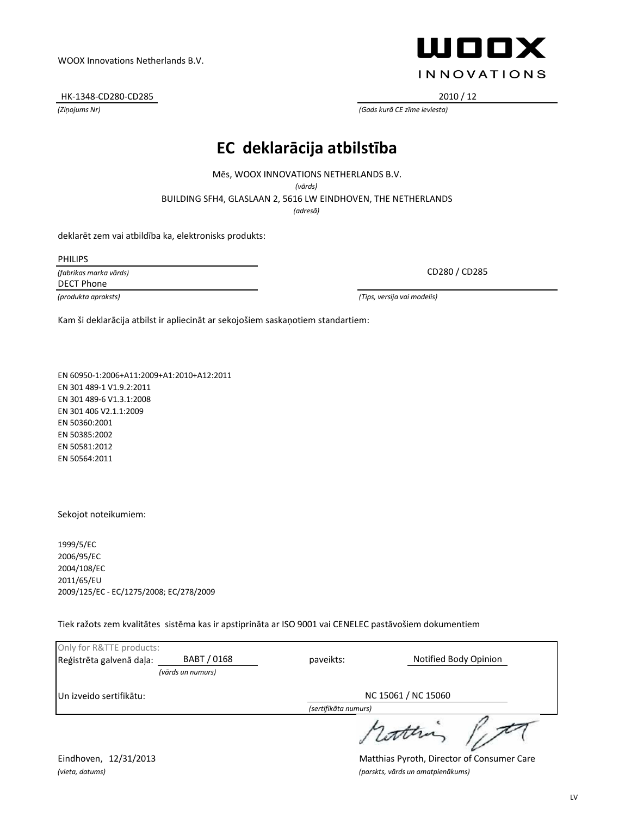#### HK-1348-CD280-CD285 2010 / 12

*(Ziņojums Nr) (Gads kurā CE zīme ieviesta)*

# **EC deklarācija atbilstība**

Mēs, WOOX INNOVATIONS NETHERLANDS B.V.

*(vārds)*

BUILDING SFH4, GLASLAAN 2, 5616 LW EINDHOVEN, THE NETHERLANDS

*(adresă)*

deklarēt zem vai atbildība ka, elektronisks produkts:

PHILIPS

*(fabrikas marka vārds)* DECT Phone

*(produkta apraksts) (Tips, versija vai modelis)*

Kam ši deklarācija atbilst ir apliecināt ar sekojošiem saskaņotiem standartiem:

EN 60950-1:2006+A11:2009+A1:2010+A12:2011 EN 301 489-1 V1.9.2:2011 EN 301 489-6 V1.3.1:2008 EN 301 406 V2.1.1:2009 EN 50360:2001 EN 50385:2002 EN 50581:2012 EN 50564:2011

Sekojot noteikumiem:

1999/5/EC 2006/95/EC 2004/108/EC 2011/65/EU 2009/125/EC - EC/1275/2008; EC/278/2009

Tiek ražots zem kvalitātes sistēma kas ir apstiprināta ar ISO 9001 vai CENELEC pastāvošiem dokumentiem

| Only for R&TTE products:         |                   |                      |                       |  |
|----------------------------------|-------------------|----------------------|-----------------------|--|
| Reģistrēta galvenā daļa:         | BABT / 0168       | paveikts:            | Notified Body Opinion |  |
|                                  | (vārds un numurs) |                      |                       |  |
| <b>I</b> Un izveido sertifikātu: |                   | NC 15061 / NC 15060  |                       |  |
|                                  |                   | (sertifikāta numurs) |                       |  |
|                                  |                   |                      | 1 cotten              |  |

Eindhoven, 12/31/2013 Matthias Pyroth, Director of Consumer Care *(vieta, datums) (parskts, vārds un amatpienākums)*



**INNOVATIONS** 

ШООХ

LV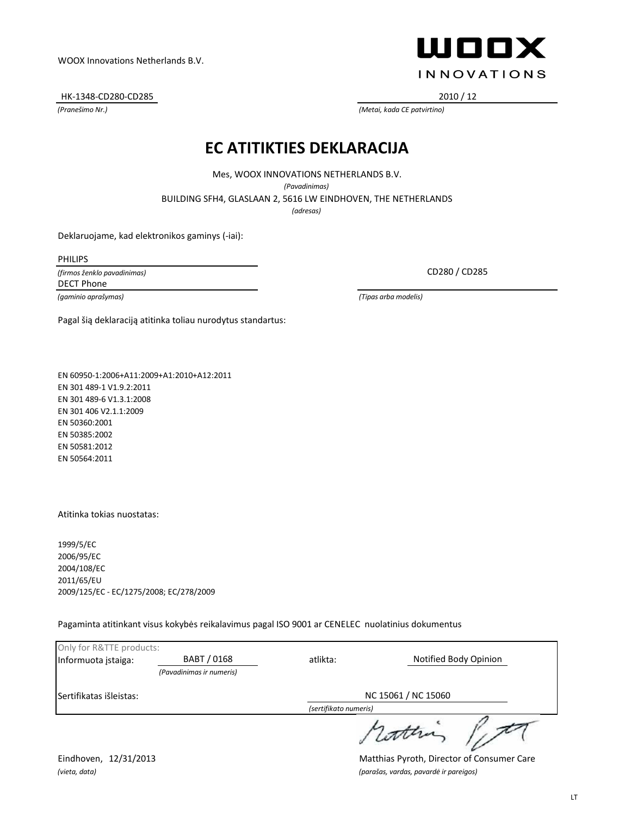HK-1348-CD280-CD285 2010 / 12



*(Pranešimo Nr.) (Metai, kada CE patvirtino)*

#### **EC ATITIKTIES DEKLARACIJA**

Mes, WOOX INNOVATIONS NETHERLANDS B.V.

*(Pavadinimas)*

BUILDING SFH4, GLASLAAN 2, 5616 LW EINDHOVEN, THE NETHERLANDS

*(adresas)*

Deklaruojame, kad elektronikos gaminys (-iai):

PHILIPS

*(firmos ženklo pavadinimas)* DECT Phone

Pagal šią deklaraciją atitinka toliau nurodytus standartus:

EN 60950-1:2006+A11:2009+A1:2010+A12:2011 EN 301 489-1 V1.9.2:2011 EN 301 489-6 V1.3.1:2008 EN 301 406 V2.1.1:2009 EN 50360:2001 EN 50385:2002 EN 50581:2012 EN 50564:2011

Atitinka tokias nuostatas:

1999/5/EC 2006/95/EC 2004/108/EC 2011/65/EU 2009/125/EC - EC/1275/2008; EC/278/2009

Pagaminta atitinkant visus kokybės reikalavimus pagal ISO 9001 ar CENELEC nuolatinius dokumentus

| Only for R&TTE products: |                          |                       |                       |  |
|--------------------------|--------------------------|-----------------------|-----------------------|--|
| Informuota įstaiga:      | BABT / 0168              | atlikta:              | Notified Body Opinion |  |
|                          | (Pavadinimas ir numeris) |                       |                       |  |
| Sertifikatas išleistas:  |                          | NC 15061 / NC 15060   |                       |  |
|                          |                          | (sertifikato numeris) |                       |  |
|                          |                          |                       |                       |  |

Eindhoven, 12/31/2013 Matthias Pyroth, Director of Consumer Care *(vieta, data) (parašas, vardas, pavardė ir pareigos)*

LT

CD280 / CD285

*(gaminio aprašymas) (Tipas arba modelis)*